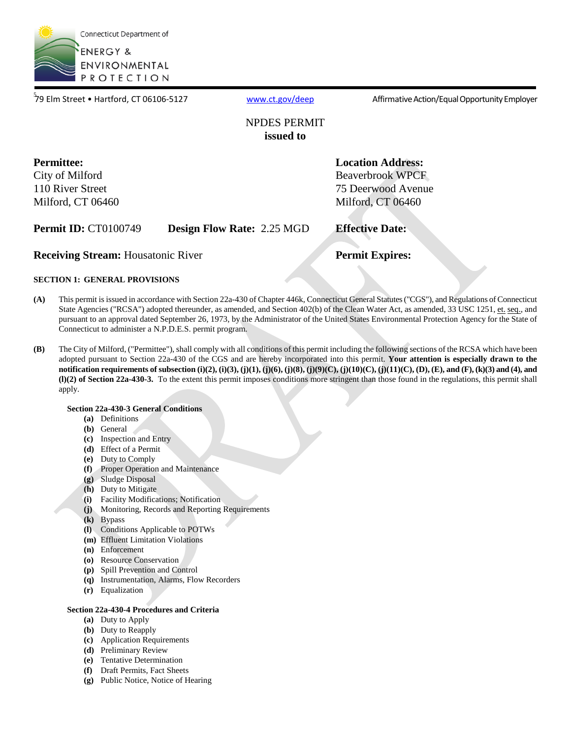

<sup>5</sup>79 Elm Street • Hartford, CT 06106-5127 [www.ct.gov/deep](http://www.ct.gov/deep) Affirmative Action/Equal Opportunity Employer

### NPDES PERMIT **issued to**

**Permittee:**  City of Milford 110 River Street Milford, CT 06460 **Beaverbrook WPCF Location Address:**  75 Deerwood Avenue Milford, CT 06460

| <b>Permit ID: CT0100749</b>               | <b>Design Flow Rate: 2.25 MGD</b> | <b>Effective Date:</b> |
|-------------------------------------------|-----------------------------------|------------------------|
| <b>Receiving Stream: Housatonic River</b> |                                   | <b>Permit Expires:</b> |
|                                           |                                   |                        |

#### **SECTION 1: GENERAL PROVISIONS**

- **(A)** This permit is issued in accordance with Section 22a-430 of Chapter 446k, Connecticut General Statutes ("CGS"), and Regulations of Connecticut State Agencies ("RCSA") adopted thereunder, as amended, and Section 402(b) of the Clean Water Act, as amended, 33 USC 1251, et. seq., and pursuant to an approval dated September 26, 1973, by the Administrator of the United States Environmental Protection Agency for the State of Connecticut to administer a N.P.D.E.S. permit program.
- **(B)** The City of Milford, ("Permittee"), shall comply with all conditions of this permit including the following sections of the RCSA which have been adopted pursuant to Section 22a-430 of the CGS and are hereby incorporated into this permit. **Your attention is especially drawn to the notification requirements of subsection (i)(2), (i)(3), (j)(1), (j)(6), (j)(8), (j)(9)(C), (j)(10)(C), (j)(11)(C), (D), (E), and (F), (k)(3) and (4), and (l)(2) of Section 22a-430-3.** To the extent this permit imposes conditions more stringent than those found in the regulations, this permit shall apply.

#### **Section 22a-430-3 General Conditions**

- **(a)** Definitions
- **(b)** General
- **(c)** Inspection and Entry
- **(d)** Effect of a Permit
- **(e)** Duty to Comply
- **(f)** Proper Operation and Maintenance
- **(g)** Sludge Disposal
- **(h)** Duty to Mitigate
- **(i)** Facility Modifications; Notification
- **(j)** Monitoring, Records and Reporting Requirements
- **(k)** Bypass
- **(l)** Conditions Applicable to POTWs
- **(m)** Effluent Limitation Violations
- **(n)** Enforcement
- **(o)** Resource Conservation
- **(p)** Spill Prevention and Control
- **(q)** Instrumentation, Alarms, Flow Recorders
- **(r)** Equalization

#### **Section 22a-430-4 Procedures and Criteria**

- **(a)** Duty to Apply
- **(b)** Duty to Reapply
- **(c)** Application Requirements
- **(d)** Preliminary Review
- **(e)** Tentative Determination
- **(f)** Draft Permits, Fact Sheets
- **(g)** Public Notice, Notice of Hearing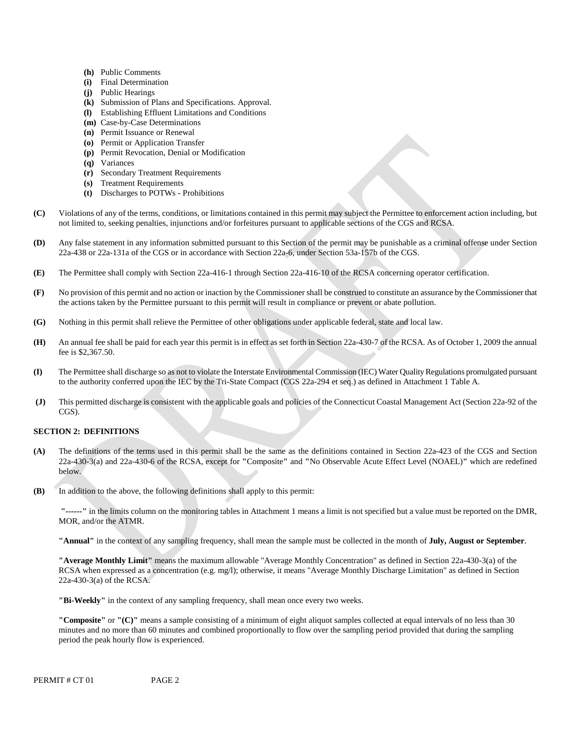- **(h)** Public Comments
- **(i)** Final Determination
- **(j)** Public Hearings
- **(k)** Submission of Plans and Specifications. Approval.
- **(l)** Establishing Effluent Limitations and Conditions
- **(m)** Case-by-Case Determinations
- **(n)** Permit Issuance or Renewal
- **(o)** Permit or Application Transfer
- **(p)** Permit Revocation, Denial or Modification
- **(q)** Variances
- **(r)** Secondary Treatment Requirements
- **(s)** Treatment Requirements
- **(t)** Discharges to POTWs Prohibitions
- Violations of any of the terms, conditions, or limitations contained in this permit may subject the Permittee to enforcement action including, but **(C)** not limited to, seeking penalties, injunctions and/or forfeitures pursuant to applicable sections of the CGS and RCSA.
- **(D)** Any false statement in any information submitted pursuant to this Section of the permit may be punishable as a criminal offense under Section 22a-438 or 22a-131a of the CGS or in accordance with Section 22a-6, under Section 53a-157b of the CGS.
- **(E)** The Permittee shall comply with Section 22a-416-1 through Section 22a-416-10 of the RCSA concerning operator certification.
- No provision of this permit and no action or inaction by the Commissioner shall be construed to constitute an assurance by the Commissioner that **(F)** the actions taken by the Permittee pursuant to this permit will result in compliance or prevent or abate pollution.
- **(G)** Nothing in this permit shall relieve the Permittee of other obligations under applicable federal, state and local law.
- An annual fee shall be paid for each year this permit is in effect as set forth in Section 22a-430-7 of the RCSA. As of October 1, 2009 the annual **(H)** fee is \$2,367.50.
- **(I)** The Permittee shall discharge so as not to violate the Interstate Environmental Commission (IEC) Water Quality Regulations promulgated pursuant to the authority conferred upon the IEC by the Tri-State Compact (CGS 22a-294 et seq.) as defined in Attachment 1 Table A.
- This permitted discharge is consistent with the applicable goals and policies of the Connecticut Coastal Management Act (Section 22a-92 of the **(J)** CGS).

#### **SECTION 2: DEFINITIONS**

- **(A)** The definitions of the terms used in this permit shall be the same as the definitions contained in Section 22a-423 of the CGS and Section 22a-430-3(a) and 22a-430-6 of the RCSA, except for **"**Composite**"** and **"**No Observable Acute Effect Level (NOAEL)**"** which are redefined below.
- **(B)** In addition to the above, the following definitions shall apply to this permit:

 **"------"** in the limits column on the monitoring tables in Attachment 1 means a limit is not specified but a value must be reported on the DMR, MOR, and/or the ATMR.

**"Annual"** in the context of any sampling frequency, shall mean the sample must be collected in the month of **July, August or September**.

**"Average Monthly Limit"** means the maximum allowable "Average Monthly Concentration" as defined in Section 22a-430-3(a) of the RCSA when expressed as a concentration (e.g. mg/l); otherwise, it means "Average Monthly Discharge Limitation" as defined in Section 22a-430-3(a) of the RCSA.

**"Bi-Weekly"** in the context of any sampling frequency, shall mean once every two weeks.

**"Composite"** or **"(C)"** means a sample consisting of a minimum of eight aliquot samples collected at equal intervals of no less than 30 minutes and no more than 60 minutes and combined proportionally to flow over the sampling period provided that during the sampling period the peak hourly flow is experienced.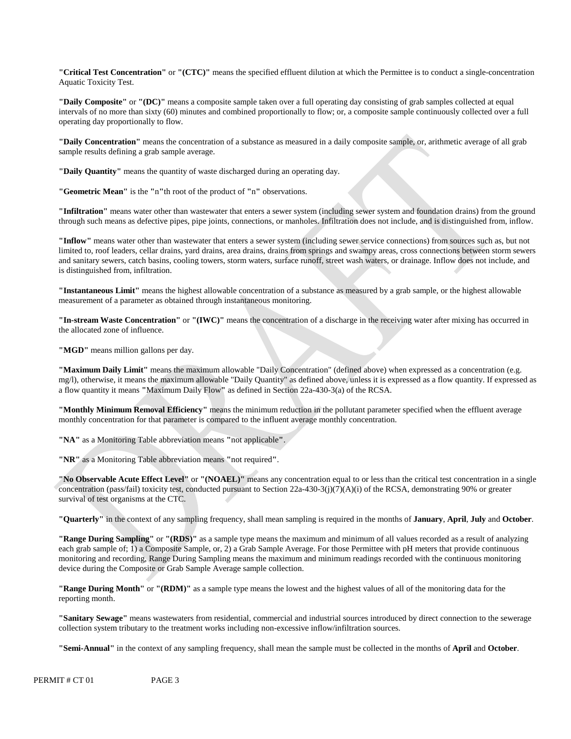**"Critical Test Concentration"** or **"(CTC)"** means the specified effluent dilution at which the Permittee is to conduct a single-concentration Aquatic Toxicity Test.

**"Daily Composite"** or **"(DC)"** means a composite sample taken over a full operating day consisting of grab samples collected at equal intervals of no more than sixty (60) minutes and combined proportionally to flow; or, a composite sample continuously collected over a full operating day proportionally to flow.

**"Daily Concentration"** means the concentration of a substance as measured in a daily composite sample, or, arithmetic average of all grab sample results defining a grab sample average.

**"Daily Quantity"** means the quantity of waste discharged during an operating day.

**"Geometric Mean"** is the **"**n**"**th root of the product of **"**n**"** observations.

**"Infiltration"** means water other than wastewater that enters a sewer system (including sewer system and foundation drains) from the ground through such means as defective pipes, pipe joints, connections, or manholes. Infiltration does not include, and is distinguished from, inflow.

**"Inflow"** means water other than wastewater that enters a sewer system (including sewer service connections) from sources such as, but not limited to, roof leaders, cellar drains, yard drains, area drains, drains from springs and swampy areas, cross connections between storm sewers and sanitary sewers, catch basins, cooling towers, storm waters, surface runoff, street wash waters, or drainage. Inflow does not include, and is distinguished from, infiltration.

**"Instantaneous Limit"** means the highest allowable concentration of a substance as measured by a grab sample, or the highest allowable measurement of a parameter as obtained through instantaneous monitoring.

**"In-stream Waste Concentration"** or **"(IWC)"** means the concentration of a discharge in the receiving water after mixing has occurred in the allocated zone of influence.

"**MGD**" means million gallons per day.

**"Maximum Daily Limit"** means the maximum allowable "Daily Concentration" (defined above) when expressed as a concentration (e.g. mg/l), otherwise, it means the maximum allowable "Daily Quantity" as defined above, unless it is expressed as a flow quantity. If expressed as a flow quantity it means **"**Maximum Daily Flow**"** as defined in Section 22a-430-3(a) of the RCSA.

**"Monthly Minimum Removal Efficiency"** means the minimum reduction in the pollutant parameter specified when the effluent average monthly concentration for that parameter is compared to the influent average monthly concentration.

**"NA"** as a Monitoring Table abbreviation means **"**not applicable**"**.

**"NR"** as a Monitoring Table abbreviation means **"**not required**"**.

**"No Observable Acute Effect Level"** or **"(NOAEL)"** means any concentration equal to or less than the critical test concentration in a single concentration (pass/fail) toxicity test, conducted pursuant to Section 22a-430-3(j)(7)(A)(i) of the RCSA, demonstrating 90% or greater survival of test organisms at the CTC.

**"Quarterly"** in the context of any sampling frequency, shall mean sampling is required in the months of **January**, **April**, **July** and **October**.

**"Range During Sampling"** or **"(RDS)"** as a sample type means the maximum and minimum of all values recorded as a result of analyzing each grab sample of; 1) a Composite Sample, or, 2) a Grab Sample Average. For those Permittee with pH meters that provide continuous monitoring and recording, Range During Sampling means the maximum and minimum readings recorded with the continuous monitoring device during the Composite or Grab Sample Average sample collection.

**"Range During Month"** or **"(RDM)"** as a sample type means the lowest and the highest values of all of the monitoring data for the reporting month.

**"Sanitary Sewage"** means wastewaters from residential, commercial and industrial sources introduced by direct connection to the sewerage collection system tributary to the treatment works including non-excessive inflow/infiltration sources.

**"Semi-Annual"** in the context of any sampling frequency, shall mean the sample must be collected in the months of **April** and **October**.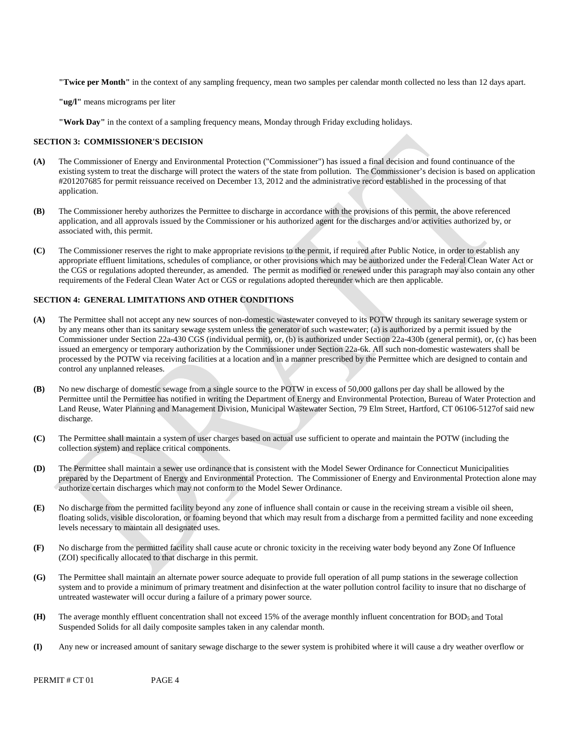**"Twice per Month"** in the context of any sampling frequency, mean two samples per calendar month collected no less than 12 days apart.

**"ug/l"** means micrograms per liter

**"Work Day"** in the context of a sampling frequency means, Monday through Friday excluding holidays.

#### **SECTION 3: COMMISSIONER'S DECISION**

- **(A)** The Commissioner of Energy and Environmental Protection ("Commissioner") has issued a final decision and found continuance of the existing system to treat the discharge will protect the waters of the state from pollution. The Commissioner's decision is based on application #201207685 for permit reissuance received on December 13, 2012 and the administrative record established in the processing of that application.
- **(B)** The Commissioner hereby authorizes the Permittee to discharge in accordance with the provisions of this permit, the above referenced application, and all approvals issued by the Commissioner or his authorized agent for the discharges and/or activities authorized by, or associated with, this permit.
- **(C)** The Commissioner reserves the right to make appropriate revisions to the permit, if required after Public Notice, in order to establish any appropriate effluent limitations, schedules of compliance, or other provisions which may be authorized under the Federal Clean Water Act or the CGS or regulations adopted thereunder, as amended. The permit as modified or renewed under this paragraph may also contain any other requirements of the Federal Clean Water Act or CGS or regulations adopted thereunder which are then applicable.

#### **SECTION 4: GENERAL LIMITATIONS AND OTHER CONDITIONS**

- **(A)** The Permittee shall not accept any new sources of non-domestic wastewater conveyed to its POTW through its sanitary sewerage system or by any means other than its sanitary sewage system unless the generator of such wastewater; (a) is authorized by a permit issued by the Commissioner under Section 22a-430 CGS (individual permit), or, (b) is authorized under Section 22a-430b (general permit), or, (c) has been issued an emergency or temporary authorization by the Commissioner under Section 22a-6k. All such non-domestic wastewaters shall be processed by the POTW via receiving facilities at a location and in a manner prescribed by the Permittee which are designed to contain and control any unplanned releases.
- No new discharge of domestic sewage from a single source to the POTW in excess of 50,000 gallons per day shall be allowed by the **(B)** Permittee until the Permittee has notified in writing the Department of Energy and Environmental Protection, Bureau of Water Protection and Land Reuse, Water Planning and Management Division, Municipal Wastewater Section, 79 Elm Street, Hartford, CT 06106-5127of said new discharge.
- **(C)** The Permittee shall maintain a system of user charges based on actual use sufficient to operate and maintain the POTW (including the collection system) and replace critical components.
- **(D)** The Permittee shall maintain a sewer use ordinance that is consistent with the Model Sewer Ordinance for Connecticut Municipalities prepared by the Department of Energy and Environmental Protection. The Commissioner of Energy and Environmental Protection alone may authorize certain discharges which may not conform to the Model Sewer Ordinance.
- **(E)** No discharge from the permitted facility beyond any zone of influence shall contain or cause in the receiving stream a visible oil sheen, floating solids, visible discoloration, or foaming beyond that which may result from a discharge from a permitted facility and none exceeding levels necessary to maintain all designated uses.
- **(F)** No discharge from the permitted facility shall cause acute or chronic toxicity in the receiving water body beyond any Zone Of Influence (ZOI) specifically allocated to that discharge in this permit.
- **(G)** The Permittee shall maintain an alternate power source adequate to provide full operation of all pump stations in the sewerage collection system and to provide a minimum of primary treatment and disinfection at the water pollution control facility to insure that no discharge of untreated wastewater will occur during a failure of a primary power source.
- **(H)** The average monthly effluent concentration shall not exceed 15% of the average monthly influent concentration for BOD5 and Total Suspended Solids for all daily composite samples taken in any calendar month.
- **(I)** Any new or increased amount of sanitary sewage discharge to the sewer system is prohibited where it will cause a dry weather overflow or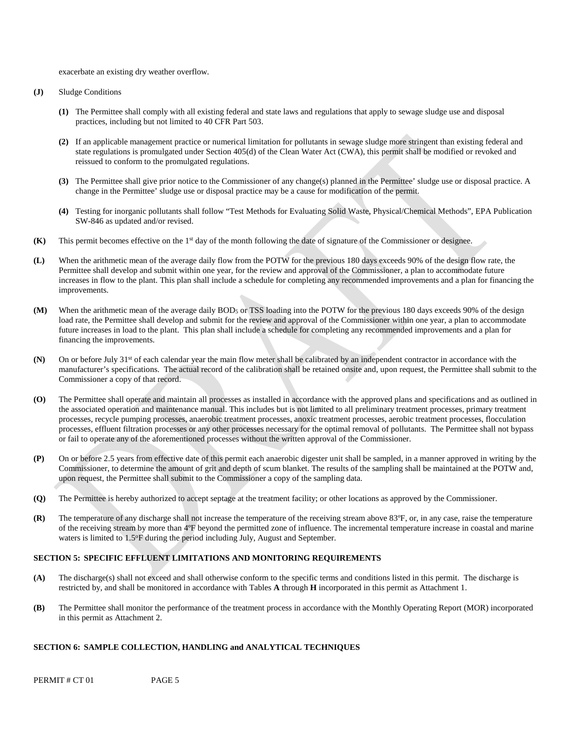exacerbate an existing dry weather overflow.

- **(J)** Sludge Conditions
	- **(1)** The Permittee shall comply with all existing federal and state laws and regulations that apply to sewage sludge use and disposal practices, including but not limited to 40 CFR Part 503.
	- **(2)** If an applicable management practice or numerical limitation for pollutants in sewage sludge more stringent than existing federal and state regulations is promulgated under Section 405(d) of the Clean Water Act (CWA), this permit shall be modified or revoked and reissued to conform to the promulgated regulations.
	- **(3)** The Permittee shall give prior notice to the Commissioner of any change(s) planned in the Permittee' sludge use or disposal practice. A change in the Permittee' sludge use or disposal practice may be a cause for modification of the permit.
	- **(4)** Testing for inorganic pollutants shall follow "Test Methods for Evaluating Solid Waste, Physical/Chemical Methods", EPA Publication SW-846 as updated and/or revised.
- **(K)** This permit becomes effective on the 1st day of the month following the date of signature of the Commissioner or designee.
- **(L)** When the arithmetic mean of the average daily flow from the POTW for the previous 180 days exceeds 90% of the design flow rate, the Permittee shall develop and submit within one year, for the review and approval of the Commissioner, a plan to accommodate future increases in flow to the plant. This plan shall include a schedule for completing any recommended improvements and a plan for financing the improvements.
- **(M)** When the arithmetic mean of the average daily BOD5 or TSS loading into the POTW for the previous 180 days exceeds 90% of the design load rate, the Permittee shall develop and submit for the review and approval of the Commissioner within one year, a plan to accommodate future increases in load to the plant. This plan shall include a schedule for completing any recommended improvements and a plan for financing the improvements.
- **(N)** On or before July 31st of each calendar year the main flow meter shall be calibrated by an independent contractor in accordance with the manufacturer's specifications. The actual record of the calibration shall be retained onsite and, upon request, the Permittee shall submit to the Commissioner a copy of that record.
- **(O)** The Permittee shall operate and maintain all processes as installed in accordance with the approved plans and specifications and as outlined in the associated operation and maintenance manual. This includes but is not limited to all preliminary treatment processes, primary treatment processes, recycle pumping processes, anaerobic treatment processes, anoxic treatment processes, aerobic treatment processes, flocculation processes, effluent filtration processes or any other processes necessary for the optimal removal of pollutants. The Permittee shall not bypass or fail to operate any of the aforementioned processes without the written approval of the Commissioner.
- **(P)** On or before 2.5 years from effective date of this permit each anaerobic digester unit shall be sampled, in a manner approved in writing by the Commissioner, to determine the amount of grit and depth of scum blanket. The results of the sampling shall be maintained at the POTW and, upon request, the Permittee shall submit to the Commissioner a copy of the sampling data.
- **(Q)** The Permittee is hereby authorized to accept septage at the treatment facility; or other locations as approved by the Commissioner.
- **(R)** The temperature of any discharge shall not increase the temperature of the receiving stream above 83ºF, or, in any case, raise the temperature of the receiving stream by more than 4ºF beyond the permitted zone of influence. The incremental temperature increase in coastal and marine waters is limited to 1.5°F during the period including July, August and September.

#### **SECTION 5: SPECIFIC EFFLUENT LIMITATIONS AND MONITORING REQUIREMENTS**

- **(A)** The discharge(s) shall not exceed and shall otherwise conform to the specific terms and conditions listed in this permit. The discharge is restricted by, and shall be monitored in accordance with Tables **A** through **H** incorporated in this permit as Attachment 1.
- **(B)** The Permittee shall monitor the performance of the treatment process in accordance with the Monthly Operating Report (MOR) incorporated in this permit as Attachment 2.

#### **SECTION 6: SAMPLE COLLECTION, HANDLING and ANALYTICAL TECHNIQUES**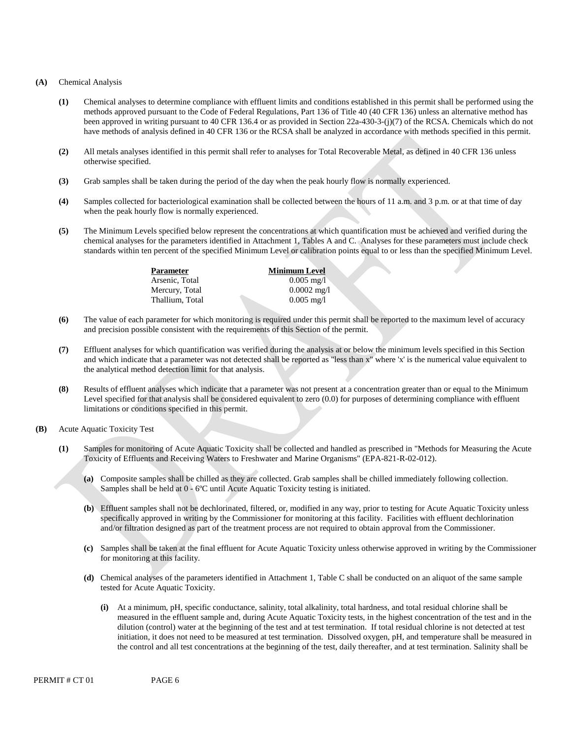#### **(A)** Chemical Analysis

- **(1)** Chemical analyses to determine compliance with effluent limits and conditions established in this permit shall be performed using the methods approved pursuant to the Code of Federal Regulations, Part 136 of Title 40 (40 CFR 136) unless an alternative method has been approved in writing pursuant to 40 CFR 136.4 or as provided in Section 22a-430-3-(j)(7) of the RCSA. Chemicals which do not have methods of analysis defined in 40 CFR 136 or the RCSA shall be analyzed in accordance with methods specified in this permit.
- **(2)** All metals analyses identified in this permit shall refer to analyses for Total Recoverable Metal, as defined in 40 CFR 136 unless otherwise specified.
- **(3)** Grab samples shall be taken during the period of the day when the peak hourly flow is normally experienced.
- **(4)** Samples collected for bacteriological examination shall be collected between the hours of 11 a.m. and 3 p.m. or at that time of day when the peak hourly flow is normally experienced.
- **(5)** The Minimum Levels specified below represent the concentrations at which quantification must be achieved and verified during the chemical analyses for the parameters identified in Attachment 1, Tables A and C. Analyses for these parameters must include check standards within ten percent of the specified Minimum Level or calibration points equal to or less than the specified Minimum Level.

| <b>Parameter</b> |  |
|------------------|--|
| Arsenic, Total   |  |
| Mercury, Total   |  |
| Thallium, Total  |  |
|                  |  |

**Minimum Level**  0.005 mg/l 0.0002 mg/l 0.005 mg/l

- **(6)** The value of each parameter for which monitoring is required under this permit shall be reported to the maximum level of accuracy and precision possible consistent with the requirements of this Section of the permit.
- **(7)** Effluent analyses for which quantification was verified during the analysis at or below the minimum levels specified in this Section and which indicate that a parameter was not detected shall be reported as "less than x" where 'x' is the numerical value equivalent to the analytical method detection limit for that analysis.
- **(8)** Results of effluent analyses which indicate that a parameter was not present at a concentration greater than or equal to the Minimum Level specified for that analysis shall be considered equivalent to zero (0.0) for purposes of determining compliance with effluent limitations or conditions specified in this permit.
- **(B)** Acute Aquatic Toxicity Test
	- **(1)** Samples for monitoring of Acute Aquatic Toxicity shall be collected and handled as prescribed in "Methods for Measuring the Acute Toxicity of Effluents and Receiving Waters to Freshwater and Marine Organisms" (EPA-821-R-02-012).
		- **(a)** Composite samples shall be chilled as they are collected. Grab samples shall be chilled immediately following collection. Samples shall be held at 0 - 6ºC until Acute Aquatic Toxicity testing is initiated.
		- **(b)** Effluent samples shall not be dechlorinated, filtered, or, modified in any way, prior to testing for Acute Aquatic Toxicity unless specifically approved in writing by the Commissioner for monitoring at this facility. Facilities with effluent dechlorination and/or filtration designed as part of the treatment process are not required to obtain approval from the Commissioner.
		- **(c)** Samples shall be taken at the final effluent for Acute Aquatic Toxicity unless otherwise approved in writing by the Commissioner for monitoring at this facility.
		- **(d)** Chemical analyses of the parameters identified in Attachment 1, Table C shall be conducted on an aliquot of the same sample tested for Acute Aquatic Toxicity.
			- **(i)** At a minimum, pH, specific conductance, salinity, total alkalinity, total hardness, and total residual chlorine shall be measured in the effluent sample and, during Acute Aquatic Toxicity tests, in the highest concentration of the test and in the dilution (control) water at the beginning of the test and at test termination. If total residual chlorine is not detected at test initiation, it does not need to be measured at test termination. Dissolved oxygen, pH, and temperature shall be measured in the control and all test concentrations at the beginning of the test, daily thereafter, and at test termination. Salinity shall be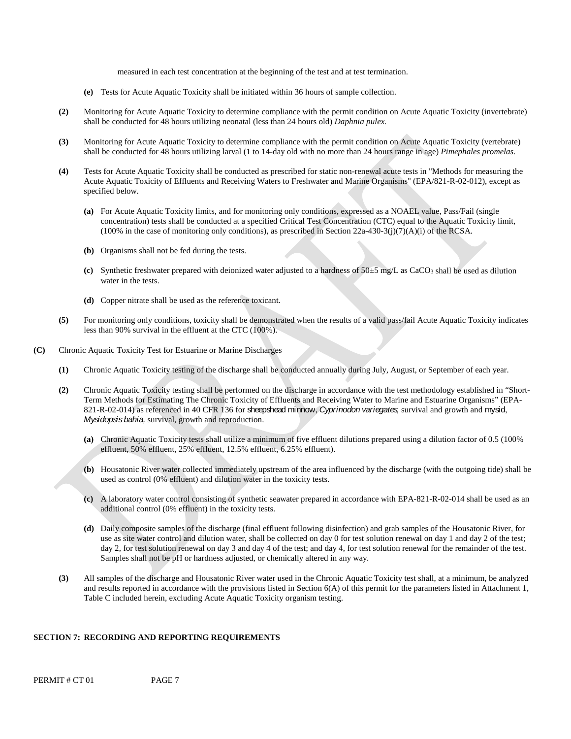measured in each test concentration at the beginning of the test and at test termination.

- **(e)** Tests for Acute Aquatic Toxicity shall be initiated within 36 hours of sample collection.
- **(2)** Monitoring for Acute Aquatic Toxicity to determine compliance with the permit condition on Acute Aquatic Toxicity (invertebrate) shall be conducted for 48 hours utilizing neonatal (less than 24 hours old) *Daphnia pulex*.
- **(3)** Monitoring for Acute Aquatic Toxicity to determine compliance with the permit condition on Acute Aquatic Toxicity (vertebrate) shall be conducted for 48 hours utilizing larval (1 to 14-day old with no more than 24 hours range in age) *Pimephales promelas*.
- specified below. **(4)** Tests for Acute Aquatic Toxicity shall be conducted as prescribed for static non-renewal acute tests in "Methods for measuring the Acute Aquatic Toxicity of Effluents and Receiving Waters to Freshwater and Marine Organisms" (EPA/821-R-02-012), except as
	- **(a)** For Acute Aquatic Toxicity limits, and for monitoring only conditions, expressed as a NOAEL value, Pass/Fail (single concentration) tests shall be conducted at a specified Critical Test Concentration (CTC) equal to the Aquatic Toxicity limit, (100% in the case of monitoring only conditions), as prescribed in Section  $22a-430-3(j)(7)(A)(i)$  of the RCSA.
	- **(b)** Organisms shall not be fed during the tests.
	- (c) Synthetic freshwater prepared with deionized water adjusted to a hardness of  $50\pm5$  mg/L as CaCO<sub>3</sub> shall be used as dilution water in the tests.
	- **(d)** Copper nitrate shall be used as the reference toxicant.
- **(5)** For monitoring only conditions, toxicity shall be demonstrated when the results of a valid pass/fail Acute Aquatic Toxicity indicates less than 90% survival in the effluent at the CTC (100%).
- **(C)**  Chronic Aquatic Toxicity Test for Estuarine or Marine Discharges
	- **(1)** Chronic Aquatic Toxicity testing of the discharge shall be conducted annually during July, August, or September of each year.
	- *Mysidopsis bahia,* survival, growth and reproduction. **(2)** Chronic Aquatic Toxicity testing shall be performed on the discharge in accordance with the test methodology established in "Short-Term Methods for Estimating The Chronic Toxicity of Effluents and Receiving Water to Marine and Estuarine Organisms" (EPA-821-R-02-014) as referenced in 40 CFR 136 for sheepshead minnow, *Cyprinodon variegates,* survival and growth and mysid,
		- **(a)** Chronic Aquatic Toxicity tests shall utilize a minimum of five effluent dilutions prepared using a dilution factor of 0.5 (100% effluent, 50% effluent, 25% effluent, 12.5% effluent, 6.25% effluent).
		- **(b)** Housatonic River water collected immediately upstream of the area influenced by the discharge (with the outgoing tide) shall be used as control (0% effluent) and dilution water in the toxicity tests.
		- **(c)** A laboratory water control consisting of synthetic seawater prepared in accordance with EPA-821-R-02-014 shall be used as an additional control (0% effluent) in the toxicity tests.
		- day 2, for test solution renewal on day 3 and day 4 of the test; and day 4, for test solution renewal for the remainder of the test. Samples shall not be pH or hardness adjusted, or chemically altered in any way. **(d)** Daily composite samples of the discharge (final effluent following disinfection) and grab samples of the Housatonic River, for use as site water control and dilution water, shall be collected on day 0 for test solution renewal on day 1 and day 2 of the test;
	- **(3)** All samples of the discharge and Housatonic River water used in the Chronic Aquatic Toxicity test shall, at a minimum, be analyzed and results reported in accordance with the provisions listed in Section  $6(A)$  of this permit for the parameters listed in Attachment 1, Table C included herein, excluding Acute Aquatic Toxicity organism testing.

#### **SECTION 7: RECORDING AND REPORTING REQUIREMENTS**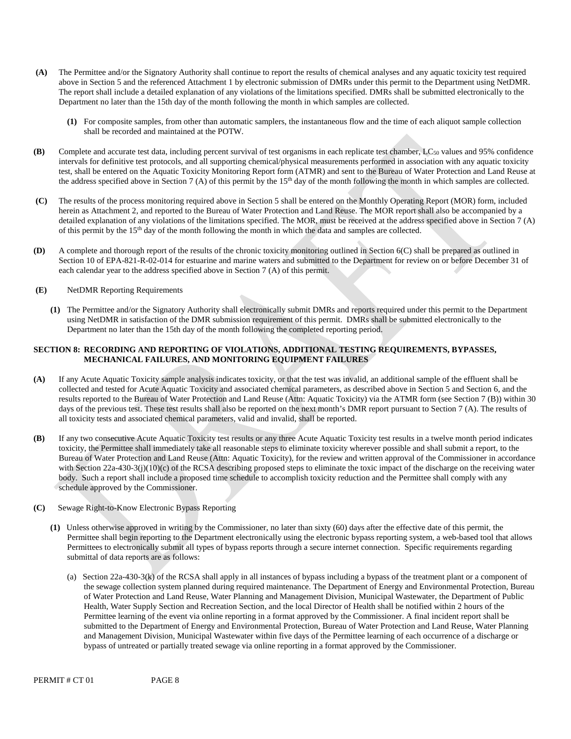- **(A)** The Permittee and/or the Signatory Authority shall continue to report the results of chemical analyses and any aquatic toxicity test required above in Section 5 and the referenced Attachment 1 by electronic submission of DMRs under this permit to the Department using NetDMR. The report shall include a detailed explanation of any violations of the limitations specified. DMRs shall be submitted electronically to the Department no later than the 15th day of the month following the month in which samples are collected.
	- **(1)** For composite samples, from other than automatic samplers, the instantaneous flow and the time of each aliquot sample collection shall be recorded and maintained at the POTW.
- **(B)** Complete and accurate test data, including percent survival of test organisms in each replicate test chamber, LC50 values and 95% confidence intervals for definitive test protocols, and all supporting chemical/physical measurements performed in association with any aquatic toxicity test, shall be entered on the Aquatic Toxicity Monitoring Report form (ATMR) and sent to the Bureau of Water Protection and Land Reuse at the address specified above in Section 7 (A) of this permit by the  $15<sup>th</sup>$  day of the month following the month in which samples are collected.
- **(C)** The results of the process monitoring required above in Section 5 shall be entered on the Monthly Operating Report (MOR) form, included herein as Attachment 2, and reported to the Bureau of Water Protection and Land Reuse. The MOR report shall also be accompanied by a detailed explanation of any violations of the limitations specified. The MOR, must be received at the address specified above in Section 7 (A) of this permit by the 15th day of the month following the month in which the data and samples are collected.
- **(D)** A complete and thorough report of the results of the chronic toxicity monitoring outlined in Section 6(C) shall be prepared as outlined in Section 10 of EPA-821-R-02-014 for estuarine and marine waters and submitted to the Department for review on or before December 31 of each calendar year to the address specified above in Section 7 (A) of this permit.
- **(E)** NetDMR Reporting Requirements
	- **(1)** The Permittee and/or the Signatory Authority shall electronically submit DMRs and reports required under this permit to the Department using NetDMR in satisfaction of the DMR submission requirement of this permit. DMRs shall be submitted electronically to the Department no later than the 15th day of the month following the completed reporting period.

#### **SECTION 8: RECORDING AND REPORTING OF VIOLATIONS, ADDITIONAL TESTING REQUIREMENTS, BYPASSES, MECHANICAL FAILURES, AND MONITORING EQUIPMENT FAILURES**

- **(A)** If any Acute Aquatic Toxicity sample analysis indicates toxicity, or that the test was invalid, an additional sample of the effluent shall be collected and tested for Acute Aquatic Toxicity and associated chemical parameters, as described above in Section 5 and Section 6, and the results reported to the Bureau of Water Protection and Land Reuse (Attn: Aquatic Toxicity) via the ATMR form (see Section 7 (B)) within 30 days of the previous test. These test results shall also be reported on the next month's DMR report pursuant to Section 7 (A). The results of all toxicity tests and associated chemical parameters, valid and invalid, shall be reported.
- **(B)** If any two consecutive Acute Aquatic Toxicity test results or any three Acute Aquatic Toxicity test results in a twelve month period indicates toxicity, the Permittee shall immediately take all reasonable steps to eliminate toxicity wherever possible and shall submit a report, to the Bureau of Water Protection and Land Reuse (Attn: Aquatic Toxicity), for the review and written approval of the Commissioner in accordance with Section 22a-430-3(j)(10)(c) of the RCSA describing proposed steps to eliminate the toxic impact of the discharge on the receiving water body. Such a report shall include a proposed time schedule to accomplish toxicity reduction and the Permittee shall comply with any schedule approved by the Commissioner.
- **(C)** Sewage Right-to-Know Electronic Bypass Reporting
	- **(1)** Unless otherwise approved in writing by the Commissioner, no later than sixty (60) days after the effective date of this permit, the Permittee shall begin reporting to the Department electronically using the electronic bypass reporting system, a web-based tool that allows Permittees to electronically submit all types of bypass reports through a secure internet connection. Specific requirements regarding submittal of data reports are as follows:
		- bypass of untreated or partially treated sewage via online reporting in a format approved by the Commissioner. (a) Section 22a-430-3(k) of the RCSA shall apply in all instances of bypass including a bypass of the treatment plant or a component of the sewage collection system planned during required maintenance. The Department of Energy and Environmental Protection, Bureau of Water Protection and Land Reuse, Water Planning and Management Division, Municipal Wastewater, the Department of Public Health, Water Supply Section and Recreation Section, and the local Director of Health shall be notified within 2 hours of the Permittee learning of the event via online reporting in a format approved by the Commissioner. A final incident report shall be submitted to the Department of Energy and Environmental Protection, Bureau of Water Protection and Land Reuse, Water Planning and Management Division, Municipal Wastewater within five days of the Permittee learning of each occurrence of a discharge or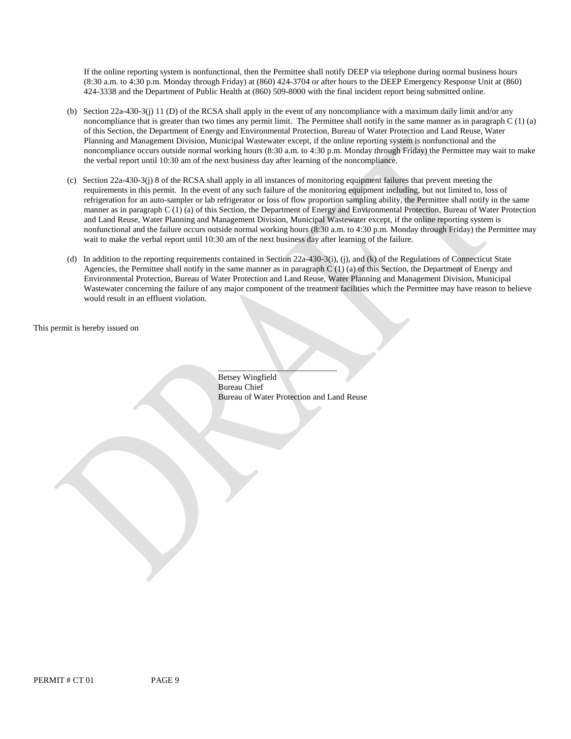If the online reporting system is nonfunctional, then the Permittee shall notify DEEP via telephone during normal business hours (8:30 a.m. to 4:30 p.m. Monday through Friday) at (860) 424-3704 or after hours to the DEEP Emergency Response Unit at (860) 424-3338 and the Department of Public Health at (860) 509-8000 with the final incident report being submitted online.

- noncompliance that is greater than two times any permit limit. The Permittee shall notify in the same manner as in paragraph C (1) (a) (b) Section 22a-430-3(j) 11 (D) of the RCSA shall apply in the event of any noncompliance with a maximum daily limit and/or any of this Section, the Department of Energy and Environmental Protection, Bureau of Water Protection and Land Reuse, Water Planning and Management Division, Municipal Wastewater except, if the online reporting system is nonfunctional and the noncompliance occurs outside normal working hours (8:30 a.m. to 4:30 p.m. Monday through Friday) the Permittee may wait to make the verbal report until 10:30 am of the next business day after learning of the noncompliance.
- requirements in this permit. In the event of any such failure of the monitoring equipment including, but not limited to, loss of wait to make the verbal report until 10:30 am of the next business day after learning of the failure. (c) Section 22a-430-3(j) 8 of the RCSA shall apply in all instances of monitoring equipment failures that prevent meeting the refrigeration for an auto-sampler or lab refrigerator or loss of flow proportion sampling ability, the Permittee shall notify in the same manner as in paragraph C (1) (a) of this Section, the Department of Energy and Environmental Protection, Bureau of Water Protection and Land Reuse, Water Planning and Management Division, Municipal Wastewater except, if the online reporting system is nonfunctional and the failure occurs outside normal working hours (8:30 a.m. to 4:30 p.m. Monday through Friday) the Permittee may
- would result in an effluent violation. (d) In addition to the reporting requirements contained in Section 22a-430-3(i), (j), and (k) of the Regulations of Connecticut State Agencies, the Permittee shall notify in the same manner as in paragraph C (1) (a) of this Section, the Department of Energy and Environmental Protection, Bureau of Water Protection and Land Reuse, Water Planning and Management Division, Municipal Wastewater concerning the failure of any major component of the treatment facilities which the Permittee may have reason to believe

This permit is hereby issued on

\_\_\_\_\_\_\_\_\_\_\_\_\_\_\_\_\_\_\_\_\_\_\_\_\_\_\_\_ Betsey Wingfield Bureau Chief Bureau of Water Protection and Land Reuse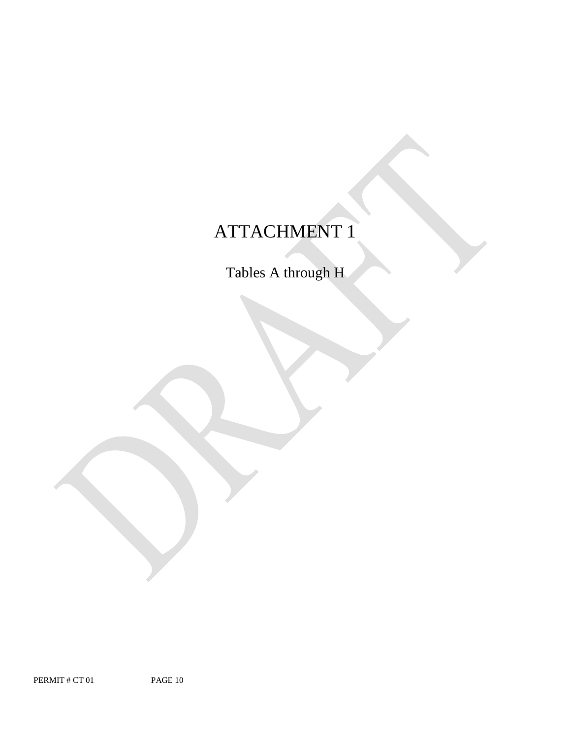# ATTACHMENT 1

Tables A through H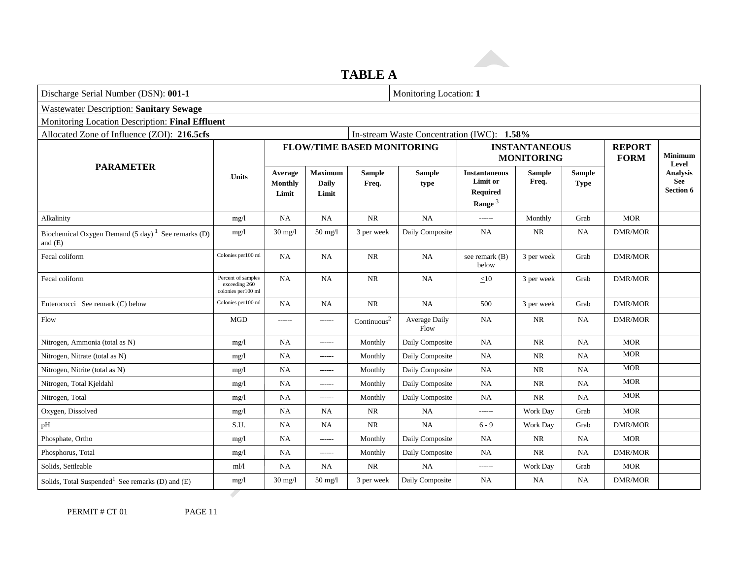### **TABLE A**

| <b>Wastewater Description: Sanitary Sewage</b><br>Monitoring Location Description: Final Effluent<br>Allocated Zone of Influence (ZOI): 216.5cfs |                                                           |                                    |                                         |                                   |                                            |                                                           |                                           |                              |                              |                              |
|--------------------------------------------------------------------------------------------------------------------------------------------------|-----------------------------------------------------------|------------------------------------|-----------------------------------------|-----------------------------------|--------------------------------------------|-----------------------------------------------------------|-------------------------------------------|------------------------------|------------------------------|------------------------------|
|                                                                                                                                                  |                                                           |                                    |                                         |                                   |                                            |                                                           |                                           |                              |                              |                              |
|                                                                                                                                                  |                                                           |                                    |                                         |                                   |                                            |                                                           |                                           |                              |                              |                              |
|                                                                                                                                                  |                                                           |                                    |                                         |                                   | In-stream Waste Concentration (IWC): 1.58% |                                                           |                                           |                              |                              |                              |
|                                                                                                                                                  |                                                           |                                    |                                         | <b>FLOW/TIME BASED MONITORING</b> |                                            |                                                           | <b>INSTANTANEOUS</b><br><b>MONITORING</b> |                              | <b>REPORT</b><br><b>FORM</b> | <b>Minimum</b><br>Level      |
| <b>PARAMETER</b>                                                                                                                                 | <b>Units</b>                                              | Average<br><b>Monthly</b><br>Limit | <b>Maximum</b><br><b>Daily</b><br>Limit | <b>Sample</b><br>Freq.            | <b>Sample</b><br>type                      | <b>Instantaneous</b><br>Limit or<br>Required<br>Range $3$ | <b>Sample</b><br>Freq.                    | <b>Sample</b><br><b>Type</b> |                              | Analysis<br>See<br>Section 6 |
| Alkalinity                                                                                                                                       | mg/l                                                      | NA                                 | <b>NA</b>                               | $\rm NR$                          | NA                                         | ------                                                    | Monthly                                   | Grab                         | <b>MOR</b>                   |                              |
| Biochemical Oxygen Demand $(5 \text{ day})^1$ See remarks (D)<br>and $(E)$                                                                       | mg/l                                                      | $30 \text{ mg}/l$                  | 50 mg/l                                 | 3 per week                        | Daily Composite                            | <b>NA</b>                                                 | NR                                        | <b>NA</b>                    | <b>DMR/MOR</b>               |                              |
| Fecal coliform                                                                                                                                   | Colonies per100 ml                                        | <b>NA</b>                          | <b>NA</b>                               | $\rm NR$                          | NA                                         | see remark (B)<br>below                                   | 3 per week                                | Grab                         | DMR/MOR                      |                              |
| Fecal coliform                                                                                                                                   | Percent of samples<br>exceeding 260<br>colonies per100 ml | NA                                 | <b>NA</b>                               | $\rm NR$                          | <b>NA</b>                                  | $\leq 10$                                                 | 3 per week                                | Grab                         | <b>DMR/MOR</b>               |                              |
| Enterococci See remark (C) below                                                                                                                 | Colonies per 100 ml                                       | NA                                 | <b>NA</b>                               | $\rm NR$                          | NA                                         | 500                                                       | 3 per week                                | Grab                         | DMR/MOR                      |                              |
| Flow                                                                                                                                             | <b>MGD</b>                                                | ------                             | ------                                  | Continuous <sup>2</sup>           | Average Daily<br>Flow                      | <b>NA</b>                                                 | NR                                        | NA                           | DMR/MOR                      |                              |
| Nitrogen, Ammonia (total as N)                                                                                                                   | mg/1                                                      | <b>NA</b>                          | ------                                  | Monthly                           | Daily Composite                            | <b>NA</b>                                                 | <b>NR</b>                                 | <b>NA</b>                    | <b>MOR</b>                   |                              |
| Nitrogen, Nitrate (total as N)                                                                                                                   | mg/1                                                      | NA                                 | $- - - - - -$                           | Monthly                           | Daily Composite                            | <b>NA</b>                                                 | <b>NR</b>                                 | NA                           | <b>MOR</b>                   |                              |
| Nitrogen, Nitrite (total as N)                                                                                                                   | mg/l                                                      | NA                                 | ------                                  | Monthly                           | Daily Composite                            | <b>NA</b>                                                 | <b>NR</b>                                 | <b>NA</b>                    | <b>MOR</b>                   |                              |
| Nitrogen, Total Kjeldahl                                                                                                                         | mg/1                                                      | NA                                 | ------                                  | Monthly                           | Daily Composite                            | <b>NA</b>                                                 | <b>NR</b>                                 | NA                           | <b>MOR</b>                   |                              |
| Nitrogen, Total                                                                                                                                  | mg/l                                                      | $_{\rm NA}$                        | ------                                  | Monthly                           | Daily Composite                            | <b>NA</b>                                                 | $\rm NR$                                  | NA                           | <b>MOR</b>                   |                              |
| Oxygen, Dissolved                                                                                                                                | mg/l                                                      | NA                                 | <b>NA</b>                               | $\rm NR$                          | NA.                                        | ------                                                    | Work Day                                  | Grab                         | <b>MOR</b>                   |                              |
| pH                                                                                                                                               | S.U.                                                      | NA                                 | <b>NA</b>                               | $\rm NR$                          | NA                                         | $6 - 9$                                                   | Work Day                                  | Grab                         | <b>DMR/MOR</b>               |                              |
| Phosphate, Ortho                                                                                                                                 | mg/l                                                      | NA                                 | ------                                  | Monthly                           | Daily Composite                            | <b>NA</b>                                                 | <b>NR</b>                                 | NA                           | <b>MOR</b>                   |                              |
| Phosphorus, Total                                                                                                                                | mg/l                                                      | NA                                 | ------                                  | Monthly                           | Daily Composite                            | <b>NA</b>                                                 | <b>NR</b>                                 | <b>NA</b>                    | <b>DMR/MOR</b>               |                              |
| Solids, Settleable                                                                                                                               | m!/l                                                      | <b>NA</b>                          | <b>NA</b>                               | NR.                               | NA.                                        | ------                                                    | Work Day                                  | Grab                         | <b>MOR</b>                   |                              |
| Solids, Total Suspended <sup>1</sup> See remarks (D) and (E)                                                                                     | mg/1                                                      | $30 \text{ mg}/l$                  | $50$ mg/l                               | 3 per week                        | Daily Composite                            | <b>NA</b>                                                 | NA                                        | <b>NA</b>                    | DMR/MOR                      |                              |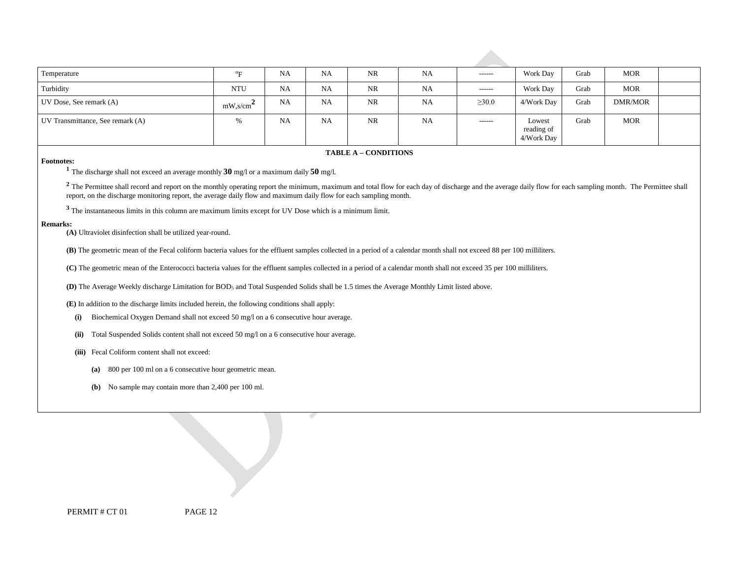| Temperature                      | $O_{\Gamma}$                             | <b>NA</b> | NA        | NR        | <b>NA</b> | $- - - - - -$ | Work Day                           | Grab | <b>MOR</b> |  |
|----------------------------------|------------------------------------------|-----------|-----------|-----------|-----------|---------------|------------------------------------|------|------------|--|
| Turbidity                        | <b>NTU</b>                               | <b>NA</b> | NA        | <b>NR</b> | <b>NA</b> | $-----1$      | Work Day                           | Grab | <b>MOR</b> |  |
| UV Dose, See remark (A)          | $mW$ , s/cm <sup><math>\sim</math></sup> | <b>NA</b> | <b>NA</b> | <b>NR</b> | NA        | $\geq 30.0$   | 4/Work Day                         | Grab | DMR/MOR    |  |
| UV Transmittance, See remark (A) | 0/2                                      | <b>NA</b> | <b>NA</b> | <b>NR</b> | NA        | ------        | Lowest<br>reading of<br>4/Work Day | Grab | <b>MOR</b> |  |

#### **FABLE A – CONDITIONS**

**Footnotes: 1** The discharge shall not exceed an average monthly **30** mg/l or a maximum daily **50** mg/l.

 report, on the discharge monitoring report, the average daily flow and maximum daily flow for each sampling month. <sup>2</sup> The Permittee shall record and report on the monthly operating report the minimum, maximum and total flow for each day of discharge and the average daily flow for each sampling month. The Permittee shall

**<sup>3</sup>**The instantaneous limits in this column are maximum limits except for UV Dose which is a minimum limit.

#### **Remarks:**

**(A)** Ultraviolet disinfection shall be utilized year-round.

**(B)** The geometric mean of the Fecal coliform bacteria values for the effluent samples collected in a period of a calendar month shall not exceed 88 per 100 milliliters.

**(C)** The geometric mean of the Enterococci bacteria values for the effluent samples collected in a period of a calendar month shall not exceed 35 per 100 milliliters.

**(D)** The Average Weekly discharge Limitation for BOD5 and Total Suspended Solids shall be 1.5 times the Average Monthly Limit listed above.

**(E)** In addition to the discharge limits included herein, the following conditions shall apply:

**(i)** Biochemical Oxygen Demand shall not exceed 50 mg/l on a 6 consecutive hour average.

**(ii)** Total Suspended Solids content shall not exceed 50 mg/l on a 6 consecutive hour average.

**(iii)** Fecal Coliform content shall not exceed:

**(a)** 800 per 100 ml on a 6 consecutive hour geometric mean.

**(b)** No sample may contain more than 2,400 per 100 ml.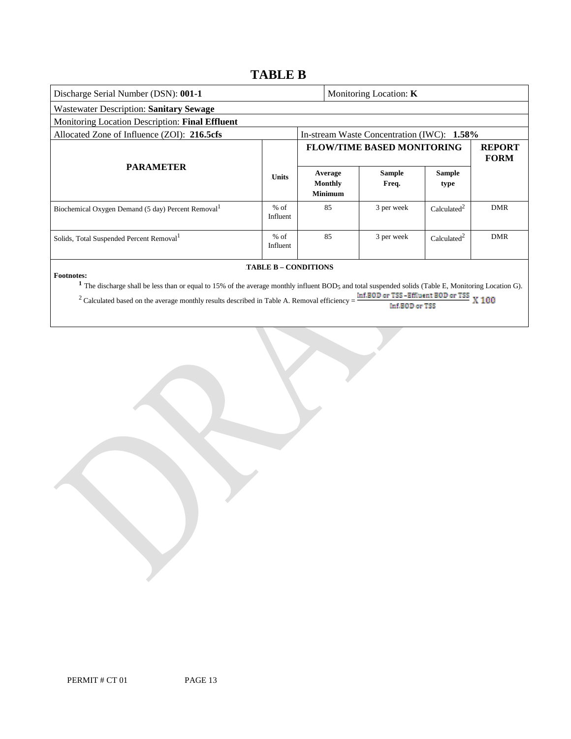### **TABLE B**

| Discharge Serial Number (DSN): 001-1<br>Monitoring Location: <b>K</b>                                                                                                                                                                                                                                                                                                      |                    |  |                                             |                                            |                         |                              |  |
|----------------------------------------------------------------------------------------------------------------------------------------------------------------------------------------------------------------------------------------------------------------------------------------------------------------------------------------------------------------------------|--------------------|--|---------------------------------------------|--------------------------------------------|-------------------------|------------------------------|--|
| Wastewater Description: Sanitary Sewage                                                                                                                                                                                                                                                                                                                                    |                    |  |                                             |                                            |                         |                              |  |
| Monitoring Location Description: Final Effluent                                                                                                                                                                                                                                                                                                                            |                    |  |                                             |                                            |                         |                              |  |
| Allocated Zone of Influence (ZOI): 216.5cfs                                                                                                                                                                                                                                                                                                                                |                    |  |                                             | In-stream Waste Concentration (IWC): 1.58% |                         |                              |  |
|                                                                                                                                                                                                                                                                                                                                                                            |                    |  |                                             | <b>FLOW/TIME BASED MONITORING</b>          |                         | <b>REPORT</b><br><b>FORM</b> |  |
| <b>PARAMETER</b>                                                                                                                                                                                                                                                                                                                                                           | <b>Units</b>       |  | Average<br><b>Monthly</b><br><b>Minimum</b> | <b>Sample</b><br>Freq.                     | <b>Sample</b><br>type   |                              |  |
| Biochemical Oxygen Demand (5 day) Percent Removal <sup>1</sup>                                                                                                                                                                                                                                                                                                             | $%$ of<br>Influent |  | 85                                          | 3 per week                                 | Calculated <sup>2</sup> | <b>DMR</b>                   |  |
| Solids, Total Suspended Percent Removal <sup>1</sup>                                                                                                                                                                                                                                                                                                                       | $%$ of<br>Influent |  | 85                                          | 3 per week                                 | Calculated <sup>2</sup> | <b>DMR</b>                   |  |
| <b>TABLE B - CONDITIONS</b>                                                                                                                                                                                                                                                                                                                                                |                    |  |                                             |                                            |                         |                              |  |
| <b>Footnotes:</b><br><sup>1</sup> The discharge shall be less than or equal to 15% of the average monthly influent BOD <sub>5</sub> and total suspended solids (Table E, Monitoring Location G).<br>Inf.BOD or TSS-Effluent BOD or TSS<br><sup>2</sup> Calculated based on the average monthly results described in Table A. Removal efficiency =<br>100<br>Inf.BOD or TSS |                    |  |                                             |                                            |                         |                              |  |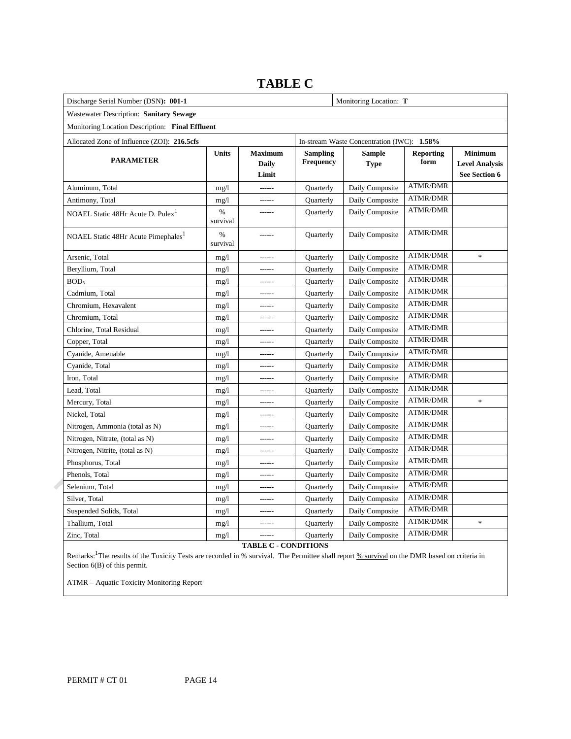| Discharge Serial Number (DSN): 001-1            |                  | Monitoring Location: T           |                              |                                            |                          |                                                          |
|-------------------------------------------------|------------------|----------------------------------|------------------------------|--------------------------------------------|--------------------------|----------------------------------------------------------|
| Wastewater Description: Sanitary Sewage         |                  |                                  |                              |                                            |                          |                                                          |
| Monitoring Location Description: Final Effluent |                  |                                  |                              |                                            |                          |                                                          |
| Allocated Zone of Influence (ZOI): 216.5cfs     |                  |                                  |                              | In-stream Waste Concentration (IWC): 1.58% |                          |                                                          |
| <b>PARAMETER</b>                                | <b>Units</b>     | <b>Maximum</b><br>Daily<br>Limit | <b>Sampling</b><br>Frequency | <b>Sample</b><br><b>Type</b>               | <b>Reporting</b><br>form | <b>Minimum</b><br><b>Level Analysis</b><br>See Section 6 |
| Aluminum, Total                                 | mg/1             | $1 - 1 - 1 - 1$                  | Quarterly                    | Daily Composite                            | <b>ATMR/DMR</b>          |                                                          |
| Antimony, Total                                 | mg/1             | ------                           | Quarterly                    | Daily Composite                            | <b>ATMR/DMR</b>          |                                                          |
| NOAEL Static 48Hr Acute D. Pulex <sup>1</sup>   | $\%$<br>survival | $---$                            | Quarterly                    | Daily Composite                            | <b>ATMR/DMR</b>          |                                                          |
| NOAEL Static 48Hr Acute Pimephales <sup>1</sup> | $\%$<br>survival | ------                           | Quarterly                    | Daily Composite                            | <b>ATMR/DMR</b>          |                                                          |
| Arsenic, Total                                  | mg/1             | ------                           | Quarterly                    | Daily Composite                            | <b>ATMR/DMR</b>          | $\ast$                                                   |
| Beryllium, Total                                | mg/1             | $- - - - - -$                    | Quarterly                    | Daily Composite                            | <b>ATMR/DMR</b>          |                                                          |
| BOD <sub>5</sub>                                | mg/1             | ------                           | Quarterly                    | Daily Composite                            | <b>ATMR/DMR</b>          |                                                          |
| Cadmium, Total                                  | mg/1             | $- - - - - -$                    | Quarterly                    | Daily Composite                            | <b>ATMR/DMR</b>          |                                                          |
| Chromium, Hexavalent                            | mg/1             |                                  | Quarterly                    | Daily Composite                            | <b>ATMR/DMR</b>          |                                                          |
| Chromium, Total                                 | mg/1             | $- - - - - -$                    | Quarterly                    | Daily Composite                            | <b>ATMR/DMR</b>          |                                                          |
| Chlorine, Total Residual                        | mg/1             |                                  | Quarterly                    | Daily Composite                            | <b>ATMR/DMR</b>          |                                                          |
| Copper, Total                                   | mg/1             | $- - - - - -$                    | Quarterly                    | Daily Composite                            | <b>ATMR/DMR</b>          |                                                          |
| Cyanide, Amenable                               | mg/1             | $- - - - - -$                    | Quarterly                    | Daily Composite                            | <b>ATMR/DMR</b>          |                                                          |
| Cyanide, Total                                  | mg/1             | $- - - - - -$                    | Quarterly                    | Daily Composite                            | <b>ATMR/DMR</b>          |                                                          |
| Iron, Total                                     | mg/1             | $- - - - - -$                    | Quarterly                    | Daily Composite                            | <b>ATMR/DMR</b>          |                                                          |
| Lead, Total                                     | mg/1             |                                  | Quarterly                    | Daily Composite                            | <b>ATMR/DMR</b>          |                                                          |
| Mercury, Total                                  | mg/1             | $- - - - - -$                    | Quarterly                    | Daily Composite                            | <b>ATMR/DMR</b>          | $\ast$                                                   |
| Nickel, Total                                   | mg/1             |                                  | Quarterly                    | Daily Composite                            | <b>ATMR/DMR</b>          |                                                          |
| Nitrogen, Ammonia (total as N)                  | mg/1             | $- - - - - -$                    | Quarterly                    | Daily Composite                            | <b>ATMR/DMR</b>          |                                                          |
| Nitrogen, Nitrate, (total as N)                 | mg/1             |                                  | Quarterly                    | Daily Composite                            | <b>ATMR/DMR</b>          |                                                          |
| Nitrogen, Nitrite, (total as N)                 | mg/1             | $- - - - - -$                    | Quarterly                    | Daily Composite                            | <b>ATMR/DMR</b>          |                                                          |
| Phosphorus, Total                               | mg/1             | $- - - - - -$                    | Quarterly                    | Daily Composite                            | <b>ATMR/DMR</b>          |                                                          |
| Phenols, Total                                  | mg/1             | ------                           | Quarterly                    | Daily Composite                            | <b>ATMR/DMR</b>          |                                                          |
| Selenium, Total                                 | mg/1             | $- - - - - -$                    | Quarterly                    | Daily Composite                            | <b>ATMR/DMR</b>          |                                                          |
| Silver, Total                                   | mg/1             |                                  | Quarterly                    | Daily Composite                            | <b>ATMR/DMR</b>          |                                                          |
| Suspended Solids, Total                         | mg/1             | $- - - - - -$                    | Quarterly                    | Daily Composite                            | <b>ATMR/DMR</b>          |                                                          |
| Thallium, Total                                 | mg/1             |                                  | Quarterly                    | Daily Composite                            | <b>ATMR/DMR</b>          | $\ast$                                                   |
| Zinc, Total                                     | mg/1             | -------                          | Quarterly                    | Daily Composite                            | <b>ATMR/DMR</b>          |                                                          |

### **TABLE C**

**TABLE C - CONDITIONS** 

Remarks: <sup>1</sup>The results of the Toxicity Tests are recorded in % survival. The Permittee shall report % survival on the DMR based on criteria in Section 6(B) of this permit.

ATMR – Aquatic Toxicity Monitoring Report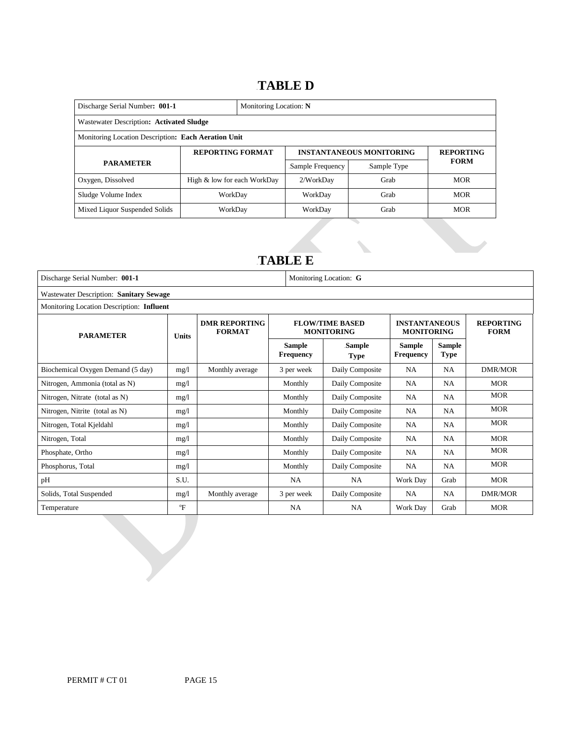### 16B**TABLE D**

| Discharge Serial Number: 001-1                      | Monitoring Location: N      |                         |                  |                                 |             |  |  |
|-----------------------------------------------------|-----------------------------|-------------------------|------------------|---------------------------------|-------------|--|--|
| Wastewater Description: Activated Sludge            |                             |                         |                  |                                 |             |  |  |
| Monitoring Location Description: Each Aeration Unit |                             |                         |                  |                                 |             |  |  |
|                                                     |                             | <b>REPORTING FORMAT</b> |                  | <b>INSTANTANEOUS MONITORING</b> |             |  |  |
| <b>PARAMETER</b>                                    |                             |                         | Sample Frequency | Sample Type                     | <b>FORM</b> |  |  |
| Oxygen, Dissolved                                   | High & low for each WorkDay |                         | 2/WorkDay        | Grab                            | <b>MOR</b>  |  |  |
| Sludge Volume Index                                 | WorkDav                     |                         | WorkDay          | Grab                            | <b>MOR</b>  |  |  |
| Mixed Liquor Suspended Solids                       | WorkDay                     |                         | WorkDay          | Grab                            | <b>MOR</b>  |  |  |

### 17B**TABLE E**

| Discharge Serial Number: 001-1            |                                                       | Monitoring Location: G |                                   |                                             |                                           |                              |                                 |  |
|-------------------------------------------|-------------------------------------------------------|------------------------|-----------------------------------|---------------------------------------------|-------------------------------------------|------------------------------|---------------------------------|--|
| Wastewater Description: Sanitary Sewage   |                                                       |                        |                                   |                                             |                                           |                              |                                 |  |
| Monitoring Location Description: Influent |                                                       |                        |                                   |                                             |                                           |                              |                                 |  |
| <b>PARAMETER</b>                          | <b>DMR REPORTING</b><br><b>FORMAT</b><br><b>Units</b> |                        |                                   | <b>FLOW/TIME BASED</b><br><b>MONITORING</b> | <b>INSTANTANEOUS</b><br><b>MONITORING</b> |                              | <b>REPORTING</b><br><b>FORM</b> |  |
|                                           |                                                       |                        | <b>Sample</b><br><b>Frequency</b> | Sample<br><b>Type</b>                       | <b>Sample</b><br><b>Frequency</b>         | <b>Sample</b><br><b>Type</b> |                                 |  |
| Biochemical Oxygen Demand (5 day)         | mg/1                                                  | Monthly average        | 3 per week                        | Daily Composite                             | NA.                                       | <b>NA</b>                    | DMR/MOR                         |  |
| Nitrogen, Ammonia (total as N)            | mg/1                                                  |                        | Monthly                           | Daily Composite                             | NA                                        | NA                           | <b>MOR</b>                      |  |
| Nitrogen, Nitrate (total as N)            | mg/1                                                  |                        | Monthly                           | Daily Composite                             | NA                                        | NA                           | <b>MOR</b>                      |  |
| Nitrogen, Nitrite (total as N)            | mg/l                                                  |                        | Monthly                           | Daily Composite                             | NA                                        | <b>NA</b>                    | <b>MOR</b>                      |  |
| Nitrogen, Total Kjeldahl                  | mg/1                                                  |                        | Monthly                           | Daily Composite                             | NA                                        | <b>NA</b>                    | <b>MOR</b>                      |  |
| Nitrogen, Total                           | mg/1                                                  |                        | Monthly                           | Daily Composite                             | NA                                        | <b>NA</b>                    | <b>MOR</b>                      |  |
| Phosphate, Ortho                          | mg/1                                                  |                        | Monthly                           | Daily Composite                             | NA                                        | NA                           | <b>MOR</b>                      |  |
| Phosphorus, Total                         | mg/1                                                  |                        | Monthly                           | Daily Composite                             | NA                                        | NA                           | <b>MOR</b>                      |  |
| pH                                        | S.U.                                                  |                        | <b>NA</b>                         | <b>NA</b>                                   | Work Day                                  | Grab                         | <b>MOR</b>                      |  |
| Solids, Total Suspended                   | mg/1                                                  | Monthly average        | 3 per week                        | Daily Composite                             | NA                                        | <b>NA</b>                    | <b>DMR/MOR</b>                  |  |
| Temperature                               | $\mathrm{P}$                                          |                        | <b>NA</b>                         | <b>NA</b>                                   | Work Day                                  | Grab                         | <b>MOR</b>                      |  |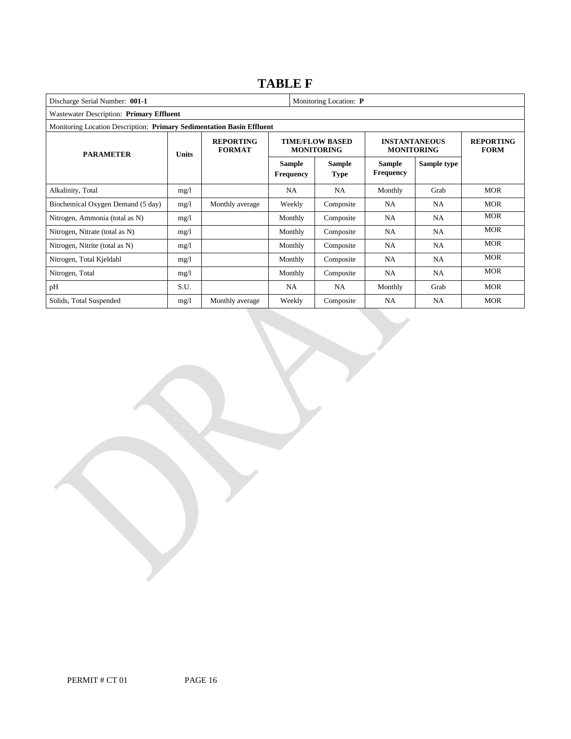### **TABLE F**

| Discharge Serial Number: 001-1<br>Monitoring Location: P              |                                                   |                 |                                   |                                             |                                   |                                           |                                 |  |
|-----------------------------------------------------------------------|---------------------------------------------------|-----------------|-----------------------------------|---------------------------------------------|-----------------------------------|-------------------------------------------|---------------------------------|--|
| Wastewater Description: Primary Effluent                              |                                                   |                 |                                   |                                             |                                   |                                           |                                 |  |
| Monitoring Location Description: Primary Sedimentation Basin Effluent |                                                   |                 |                                   |                                             |                                   |                                           |                                 |  |
| <b>PARAMETER</b>                                                      | <b>REPORTING</b><br><b>FORMAT</b><br><b>Units</b> |                 |                                   | <b>TIME/FLOW BASED</b><br><b>MONITORING</b> |                                   | <b>INSTANTANEOUS</b><br><b>MONITORING</b> | <b>REPORTING</b><br><b>FORM</b> |  |
|                                                                       |                                                   |                 | <b>Sample</b><br><b>Frequency</b> | Sample<br><b>Type</b>                       | <b>Sample</b><br><b>Frequency</b> | Sample type                               |                                 |  |
| Alkalinity, Total                                                     | mg/l                                              |                 | NA.                               | <b>NA</b>                                   | Monthly                           | Grab                                      | <b>MOR</b>                      |  |
| Biochemical Oxygen Demand (5 day)                                     | mg/l                                              | Monthly average | Weekly                            | Composite                                   | NA.                               | NA                                        | <b>MOR</b>                      |  |
| Nitrogen, Ammonia (total as N)                                        | mg/l                                              |                 | Monthly                           | Composite                                   | NA                                | NA                                        | <b>MOR</b>                      |  |
| Nitrogen, Nitrate (total as N)                                        | mg/1                                              |                 | Monthly                           | Composite                                   | NA                                | NA                                        | <b>MOR</b>                      |  |
| Nitrogen, Nitrite (total as N)                                        | mg/1                                              |                 | Monthly                           | Composite                                   | NA                                | NA.                                       | <b>MOR</b>                      |  |
| Nitrogen, Total Kjeldahl                                              | mg/1                                              |                 | Monthly                           | Composite                                   | <b>NA</b>                         | NA                                        | <b>MOR</b>                      |  |
| Nitrogen, Total                                                       | mg/l                                              |                 | Monthly                           | Composite                                   | <b>NA</b>                         | NA.                                       | <b>MOR</b>                      |  |
| pH                                                                    | S.U.                                              |                 | NA                                | NA.                                         | Monthly                           | Grab                                      | <b>MOR</b>                      |  |
| Solids, Total Suspended                                               | mg/l                                              | Monthly average | Weekly                            | Composite                                   | NA                                | NA.                                       | <b>MOR</b>                      |  |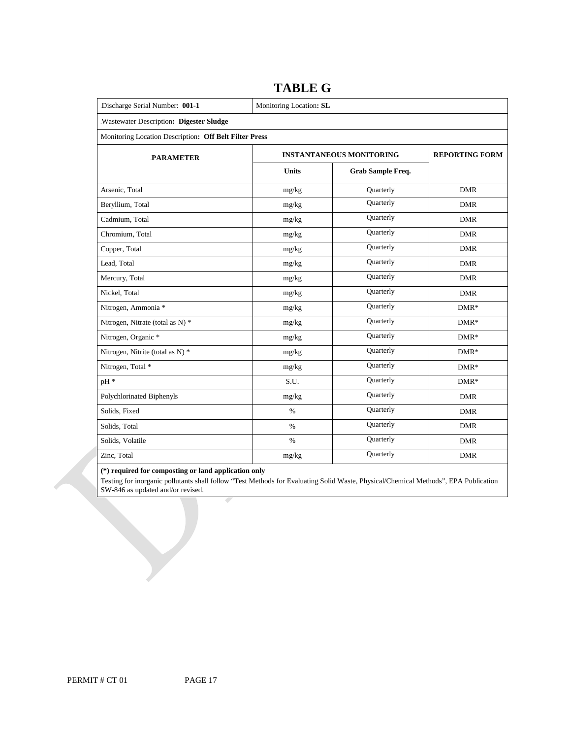| Discharge Serial Number: 001-1                         | Monitoring Location: SL |                                 |                       |  |  |  |  |
|--------------------------------------------------------|-------------------------|---------------------------------|-----------------------|--|--|--|--|
| Wastewater Description: Digester Sludge                |                         |                                 |                       |  |  |  |  |
| Monitoring Location Description: Off Belt Filter Press |                         |                                 |                       |  |  |  |  |
| <b>PARAMETER</b>                                       |                         | <b>INSTANTANEOUS MONITORING</b> | <b>REPORTING FORM</b> |  |  |  |  |
|                                                        | <b>Units</b>            | Grab Sample Freq.               |                       |  |  |  |  |
| Arsenic, Total                                         | mg/kg                   | Quarterly                       | <b>DMR</b>            |  |  |  |  |
| Beryllium, Total                                       | mg/kg                   | Quarterly                       | <b>DMR</b>            |  |  |  |  |
| Cadmium, Total                                         | mg/kg                   | Quarterly                       | <b>DMR</b>            |  |  |  |  |
| Chromium, Total                                        | mg/kg                   | Quarterly                       | <b>DMR</b>            |  |  |  |  |
| Copper, Total                                          | mg/kg                   | Quarterly                       | <b>DMR</b>            |  |  |  |  |
| Lead, Total                                            | $mg/kg$                 | Quarterly                       | <b>DMR</b>            |  |  |  |  |
| Mercury, Total                                         | mg/kg                   | Quarterly                       | <b>DMR</b>            |  |  |  |  |
| Nickel, Total                                          | mg/kg                   | Quarterly                       | <b>DMR</b>            |  |  |  |  |
| Nitrogen, Ammonia *                                    | mg/kg                   | Quarterly                       | $DMR*$                |  |  |  |  |
| Nitrogen, Nitrate (total as N) *                       | mg/kg                   | Quarterly                       | $DMR*$                |  |  |  |  |
| Nitrogen, Organic *                                    | mg/kg                   | Quarterly                       | $DMR*$                |  |  |  |  |
| Nitrogen, Nitrite (total as N) *                       | mg/kg                   | Quarterly                       | $DMR*$                |  |  |  |  |
| Nitrogen, Total *                                      | mg/kg                   | Quarterly                       | $DMR*$                |  |  |  |  |
| pH *                                                   | S.U.                    | Quarterly                       | $DMR*$                |  |  |  |  |
| Polychlorinated Biphenyls                              | mg/kg                   | Quarterly                       | <b>DMR</b>            |  |  |  |  |
| Solids, Fixed                                          | $\%$                    | Quarterly                       | <b>DMR</b>            |  |  |  |  |
| Solids, Total                                          | $\%$                    | Quarterly                       | <b>DMR</b>            |  |  |  |  |
| Solids, Volatile                                       | $\%$                    | Quarterly                       | <b>DMR</b>            |  |  |  |  |
| Zinc, Total                                            | mg/kg                   | Quarterly                       | <b>DMR</b>            |  |  |  |  |

### **TABLE G**

#### **(\*) required for composting or land application only**

 Testing for inorganic pollutants shall follow "Test Methods for Evaluating Solid Waste, Physical/Chemical Methods", EPA Publication SW-846 as updated and/or revised.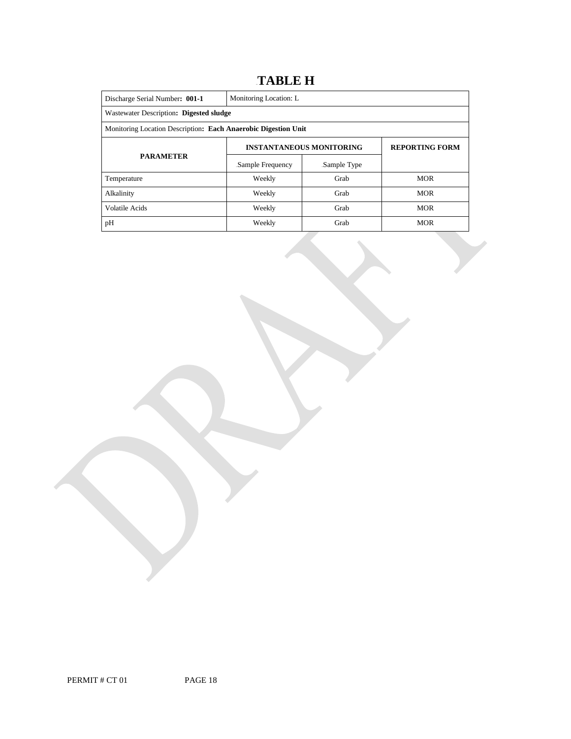### 18B**TABLE H**

| Discharge Serial Number: 001-1                                 | Monitoring Location: L                                   |             |            |  |  |  |
|----------------------------------------------------------------|----------------------------------------------------------|-------------|------------|--|--|--|
| Wastewater Description: Digested sludge                        |                                                          |             |            |  |  |  |
| Monitoring Location Description: Each Anaerobic Digestion Unit |                                                          |             |            |  |  |  |
|                                                                | <b>REPORTING FORM</b><br><b>INSTANTANEOUS MONITORING</b> |             |            |  |  |  |
| <b>PARAMETER</b>                                               | Sample Frequency                                         | Sample Type |            |  |  |  |
| Temperature                                                    | Weekly                                                   | Grab        | <b>MOR</b> |  |  |  |
| Alkalinity                                                     | Weekly                                                   | Grab        | <b>MOR</b> |  |  |  |
| Volatile Acids                                                 | Weekly                                                   | Grab        | <b>MOR</b> |  |  |  |
| pH                                                             | Weekly                                                   | Grab        | <b>MOR</b> |  |  |  |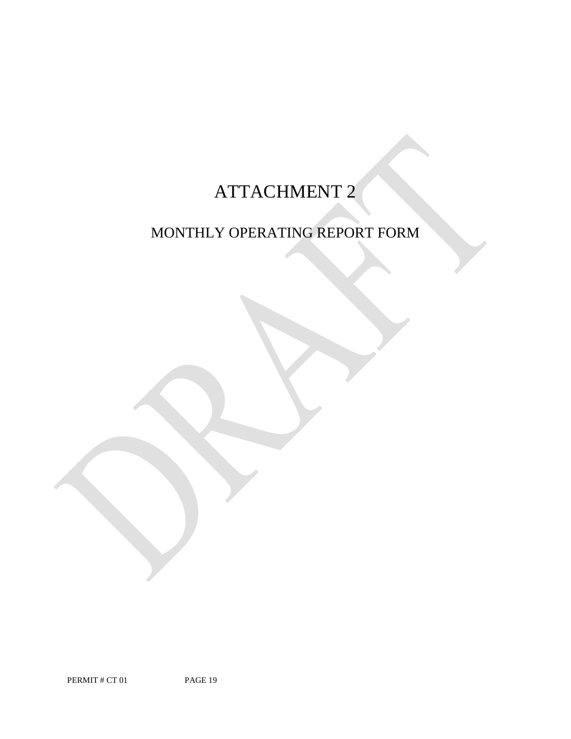# ATTACHMENT 2

## MONTHLY OPERATING REPORT FORM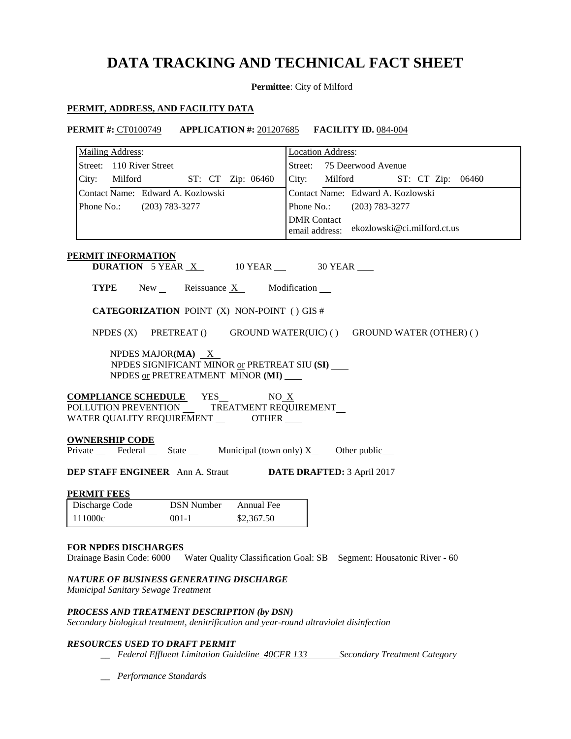## **DATA TRACKING AND TECHNICAL FACT SHEET**

**Permittee**: City of Milford

#### **PERMIT, ADDRESS, AND FACILITY DATA**

| <b>PERMIT #: CT0100749</b> | <b>APPLICATION</b> #: 201207685 | <b>FACILITY ID.</b> 084-004 |
|----------------------------|---------------------------------|-----------------------------|
| <b>Mailing Address:</b>    |                                 | Location Address:           |

| Street: 110 River Street                                                                                                                                                                                                                                                          |                                                                         | 75 Deerwood Avenue<br>Street: |                    |                                   |                                                                    |
|-----------------------------------------------------------------------------------------------------------------------------------------------------------------------------------------------------------------------------------------------------------------------------------|-------------------------------------------------------------------------|-------------------------------|--------------------|-----------------------------------|--------------------------------------------------------------------|
| City: Milford                                                                                                                                                                                                                                                                     | ST: CT Zip: 06460                                                       |                               | City:              | <b>Milford</b>                    | ST: CT Zip: 06460                                                  |
| Contact Name: Edward A. Kozlowski                                                                                                                                                                                                                                                 |                                                                         |                               |                    | Contact Name: Edward A. Kozlowski |                                                                    |
| Phone No.: (203) 783-3277                                                                                                                                                                                                                                                         |                                                                         |                               |                    | Phone No.: (203) 783-3277         |                                                                    |
|                                                                                                                                                                                                                                                                                   |                                                                         |                               | <b>DMR</b> Contact |                                   | email address: ekozlowski@ci.milford.ct.us                         |
| PERMIT INFORMATION                                                                                                                                                                                                                                                                |                                                                         |                               |                    |                                   |                                                                    |
|                                                                                                                                                                                                                                                                                   | <b>DURATION</b> 5 YEAR $X$ 10 YEAR 30 YEAR                              |                               |                    |                                   |                                                                    |
|                                                                                                                                                                                                                                                                                   | <b>TYPE</b> New Reissuance X Modification                               |                               |                    |                                   |                                                                    |
| <b>CATEGORIZATION POINT (X) NON-POINT () GIS #</b>                                                                                                                                                                                                                                |                                                                         |                               |                    |                                   |                                                                    |
|                                                                                                                                                                                                                                                                                   |                                                                         |                               |                    |                                   | NPDES (X) PRETREAT () GROUND WATER(UIC) () GROUND WATER (OTHER) () |
|                                                                                                                                                                                                                                                                                   | NPDES MAJOR( $MA$ ) $X$<br>NPDES SIGNIFICANT MINOR or PRETREAT SIU (SI) |                               |                    |                                   |                                                                    |
|                                                                                                                                                                                                                                                                                   | NPDES or PRETREATMENT MINOR (MI)                                        |                               |                    |                                   |                                                                    |
| $\underbrace{\textbf{COMPLIANCE SCHEDULE}}_{\textcolor{red}{POLLUTION\textcolor{red}{PREVENTION}}}\xspace \xrightarrow{\textcolor{red}{YES\_}}\xspace \xrightarrow{\textcolor{red}{NO_X}} \xrightarrow{\textcolor{red}{NO_X}}$<br>WATER QUALITY REQUIREMENT _________ OTHER _____ |                                                                         |                               |                    |                                   |                                                                    |
| <b>OWNERSHIP CODE</b>                                                                                                                                                                                                                                                             |                                                                         |                               |                    |                                   |                                                                    |
| Private Federal State Municipal (town only) X Other public                                                                                                                                                                                                                        |                                                                         |                               |                    |                                   |                                                                    |
| <b>DEP STAFF ENGINEER</b> Ann A. Straut <b>DATE DRAFTED:</b> 3 April 2017                                                                                                                                                                                                         |                                                                         |                               |                    |                                   |                                                                    |
| <b>PERMIT FEES</b>                                                                                                                                                                                                                                                                |                                                                         |                               |                    |                                   |                                                                    |
| Discharge Code                                                                                                                                                                                                                                                                    | <b>DSN Number</b>                                                       | Annual Fee                    |                    |                                   |                                                                    |
|                                                                                                                                                                                                                                                                                   |                                                                         |                               |                    |                                   |                                                                    |

### Drainage Basin Code: 6000 Water Quality Classification Goal: SB Segment: Housatonic River - 60

#### *NATURE OF BUSINESS GENERATING DISCHARGE*

*Municipal Sanitary Sewage Treatment* 

#### *PROCESS AND TREATMENT DESCRIPTION (by DSN)*

*Secondary biological treatment, denitrification and year-round ultraviolet disinfection* 

#### *RESOURCES USED TO DRAFT PERMIT*

- **\_\_ Federal Effluent Limitation Guideline 40CFR 133 Secondary Treatment Category**
- *\_\_ Performance Standards*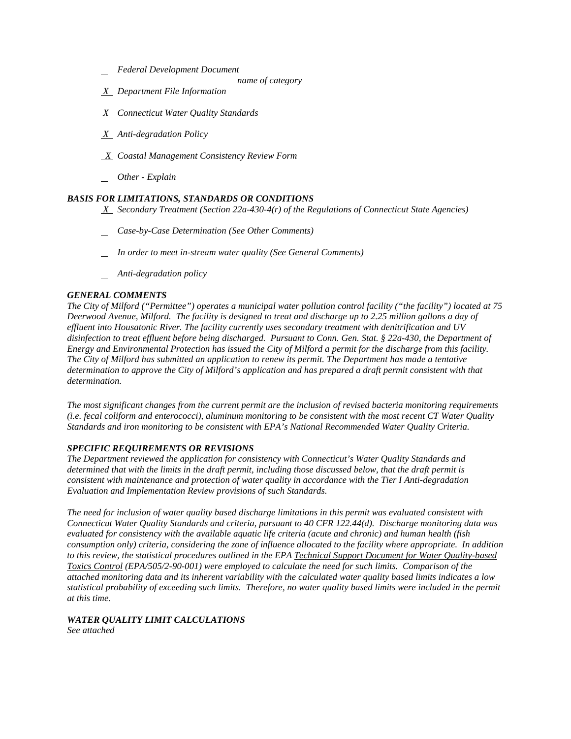- *Federal Development Document*
	- *name of category*
- *X Department File Information*
- *X Connecticut Water Quality Standards*
- *X Anti-degradation Policy*
- *X Coastal Management Consistency Review Form*
- *Other - Explain*

#### *BASIS FOR LIMITATIONS, STANDARDS OR CONDITIONS*

- *X Secondary Treatment (Section 22a-430-4(r) of the Regulations of Connecticut State Agencies)*
- *Case-by-Case Determination (See Other Comments)*
- *In order to meet in-stream water quality (See General Comments)*
- *Anti-degradation policy*

#### *GENERAL COMMENTS*

 *Deerwood Avenue, Milford. The facility is designed to treat and discharge up to 2.25 million gallons a day of effluent into Housatonic River. The facility currently uses secondary treatment with denitrification and UV The City of Milford ("Permittee") operates a municipal water pollution control facility ("the facility") located at 75 disinfection to treat effluent before being discharged. Pursuant to Conn. Gen. Stat. § 22a-430, the Department of Energy and Environmental Protection has issued the City of Milford a permit for the discharge from this facility. The City of Milford has submitted an application to renew its permit. The Department has made a tentative determination to approve the City of Milford's application and has prepared a draft permit consistent with that determination.*<br>The most significant changes from the current permit are the inclusion of revised bacteria monitoring requirements

 *Standards and iron monitoring to be consistent with EPA's National Recommended Water Quality Criteria. (i.e. fecal coliform and enterococci), aluminum monitoring to be consistent with the most recent CT Water Quality* 

#### *SPECIFIC REQUIREMENTS OR REVISIONS*

**Evaluation and Implementation Review provisions of such Standards.** *The Department reviewed the application for consistency with Connecticut's Water Quality Standards and determined that with the limits in the draft permit, including those discussed below, that the draft permit is consistent with maintenance and protection of water quality in accordance with the Tier I Anti-degradation* 

 *Connecticut Water Quality Standards and criteria, pursuant to 40 CFR 122.44(d). Discharge monitoring data was consumption only) criteria, considering the zone of influence allocated to the facility where appropriate. In addition to this review, the statistical procedures outlined in the EPA Technical Support Document for Water Quality-based at this time. The need for inclusion of water quality based discharge limitations in this permit was evaluated consistent with evaluated for consistency with the available aquatic life criteria (acute and chronic) and human health (fish Toxics Control (EPA/505/2-90-001) were employed to calculate the need for such limits. Comparison of the attached monitoring data and its inherent variability with the calculated water quality based limits indicates a low statistical probability of exceeding such limits. Therefore, no water quality based limits were included in the permit* 

#### *WATER QUALITY LIMIT CALCULATIONS See attached*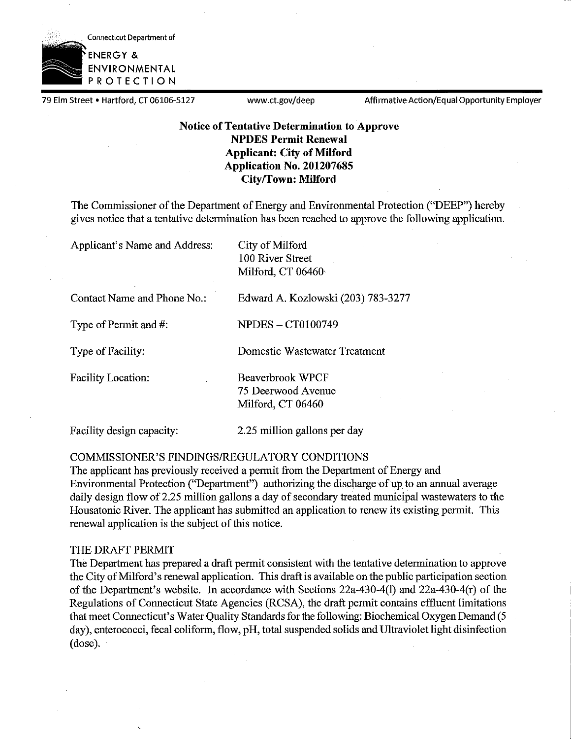

79 Elm Street • Hartford, CT 06106-5127 www.ct.gov/deep Affirmative Action/Equal Opportunity Employer

### **Notice of Tentative Determination to Approve NPDES Permit Renewal Applicant: City of Milford Application No. 201207685 City/Town: Milford**

The Commissioner of the Department of Energy and Environmental Protection ("DEEP") hereby gives notice that a tentative determination has been reached to approve the following application.

Applicant's Name and Address: City of Milford

IOO River Street Milford, CT 06460•

Contact Name and Phone No.: Edward A. Kozlowski (203) 783-3277

Type of Permit and  $\#$ :  $NPDES - CT0100749$ 

Type of Facility: Domestic Wastewater Treatment

Facility Location: Beaverbrook WPCF 75 Deerwood Avenue Milford, CT 06460

Facility design capacity: 2.25 million gallons per day

### COMMISSIONER'S FINDINGS/REGULATORY CONDITIONS

The applicant has previously received a permit from the Department of Energy and Enviromnental Protection ("Department") authorizing the discharge of up to an annual average daily design flow of 2.25 million gallons a day of secondary treated municipal wastewaters to the Housatonic River. The applicant has submitted an application to renew its existing permit. This renewal application is the subject of this notice.

#### THE DRAFT PERMIT

The Department has prepared a draft permit consistent with the tentative determination to approve the City of Milford's renewal application. This draft is available on the public participation section of the Department's website. In accordance with Sections 22a-430-4(1) and 22a-430-4(r) of the Regulations of Connecticut State Agencies (RCSA), the draft permit contains effluent limitations that meet Connecticut's Water Quality Standards for the following: Biochemical Oxygen Demand (5 day), enterococci, fecal coliform, flow, pH, total suspended solids and Ultraviolet light disinfection (dose).